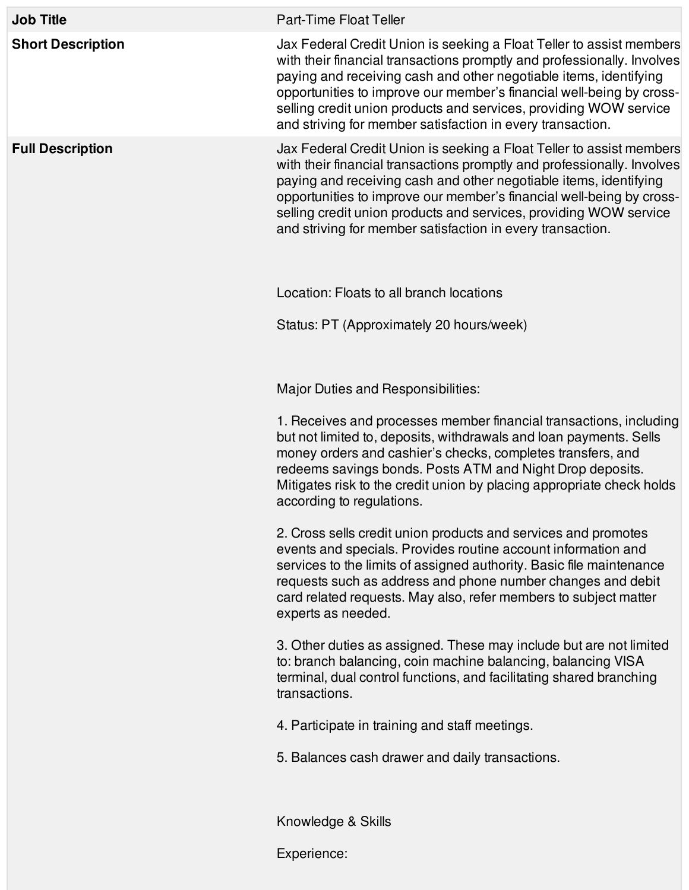| <b>Job Title</b>         | Part-Time Float Teller                                                                                                                                                                                                                                                                                                                                                                                                          |
|--------------------------|---------------------------------------------------------------------------------------------------------------------------------------------------------------------------------------------------------------------------------------------------------------------------------------------------------------------------------------------------------------------------------------------------------------------------------|
| <b>Short Description</b> | Jax Federal Credit Union is seeking a Float Teller to assist members<br>with their financial transactions promptly and professionally. Involves<br>paying and receiving cash and other negotiable items, identifying<br>opportunities to improve our member's financial well-being by cross-<br>selling credit union products and services, providing WOW service<br>and striving for member satisfaction in every transaction. |
| <b>Full Description</b>  | Jax Federal Credit Union is seeking a Float Teller to assist members<br>with their financial transactions promptly and professionally. Involves<br>paying and receiving cash and other negotiable items, identifying<br>opportunities to improve our member's financial well-being by cross-<br>selling credit union products and services, providing WOW service<br>and striving for member satisfaction in every transaction. |
|                          | Location: Floats to all branch locations                                                                                                                                                                                                                                                                                                                                                                                        |
|                          | Status: PT (Approximately 20 hours/week)                                                                                                                                                                                                                                                                                                                                                                                        |
|                          | Major Duties and Responsibilities:                                                                                                                                                                                                                                                                                                                                                                                              |
|                          | 1. Receives and processes member financial transactions, including<br>but not limited to, deposits, withdrawals and loan payments. Sells<br>money orders and cashier's checks, completes transfers, and<br>redeems savings bonds. Posts ATM and Night Drop deposits.<br>Mitigates risk to the credit union by placing appropriate check holds<br>according to regulations.                                                      |
|                          | 2. Cross sells credit union products and services and promotes<br>events and specials. Provides routine account information and<br>services to the limits of assigned authority. Basic file maintenance<br>requests such as address and phone number changes and debit<br>card related requests. May also, refer members to subject matter<br>experts as needed.                                                                |
|                          | 3. Other duties as assigned. These may include but are not limited<br>to: branch balancing, coin machine balancing, balancing VISA<br>terminal, dual control functions, and facilitating shared branching<br>transactions.                                                                                                                                                                                                      |
|                          | 4. Participate in training and staff meetings.                                                                                                                                                                                                                                                                                                                                                                                  |
|                          | 5. Balances cash drawer and daily transactions.                                                                                                                                                                                                                                                                                                                                                                                 |
|                          | Knowledge & Skills                                                                                                                                                                                                                                                                                                                                                                                                              |
|                          | Experience:                                                                                                                                                                                                                                                                                                                                                                                                                     |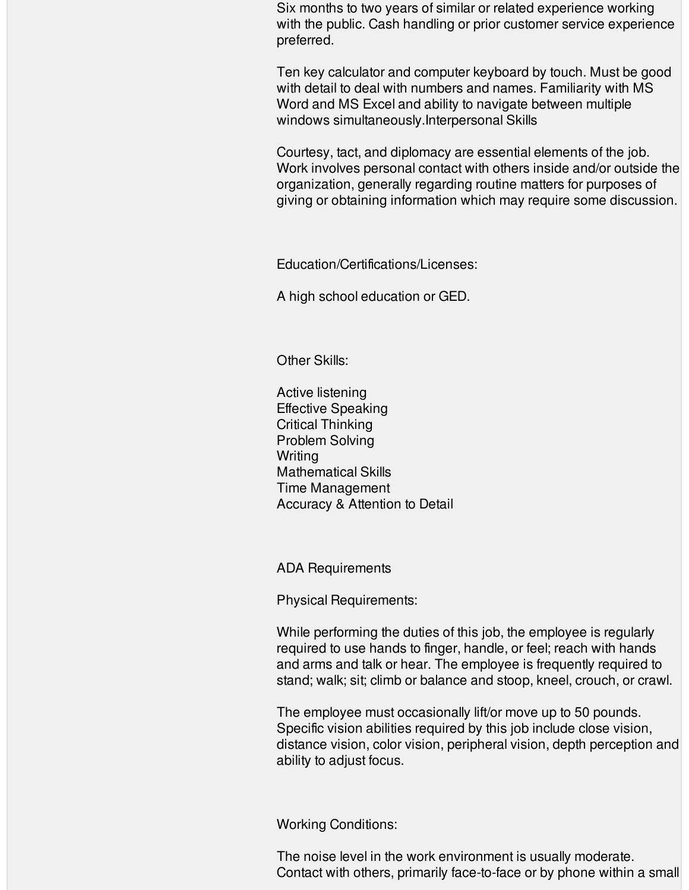Six months to two years of similar or related experience working with the public. Cash handling or prior customer service experience preferred.

Ten key calculator and computer keyboard by touch. Must be good with detail to deal with numbers and names. Familiarity with MS Word and MS Excel and ability to navigate between multiple windows simultaneously.Interpersonal Skills

Courtesy, tact, and diplomacy are essential elements of the job. Work involves personal contact with others inside and/or outside the organization, generally regarding routine matters for purposes of giving or obtaining information which may require some discussion.

Education/Certifications/Licenses:

A high school education or GED.

Other Skills:

Active listening Effective Speaking Critical Thinking Problem Solving **Writing** Mathematical Skills Time Management Accuracy & Attention to Detail

ADA Requirements

Physical Requirements:

While performing the duties of this job, the employee is regularly required to use hands to finger, handle, or feel; reach with hands and arms and talk or hear. The employee is frequently required to stand; walk; sit; climb or balance and stoop, kneel, crouch, or crawl.

The employee must occasionally lift/or move up to 50 pounds. Specific vision abilities required by this job include close vision, distance vision, color vision, peripheral vision, depth perception and ability to adjust focus.

Working Conditions:

The noise level in the work environment is usually moderate. Contact with others, primarily face-to-face or by phone within a small